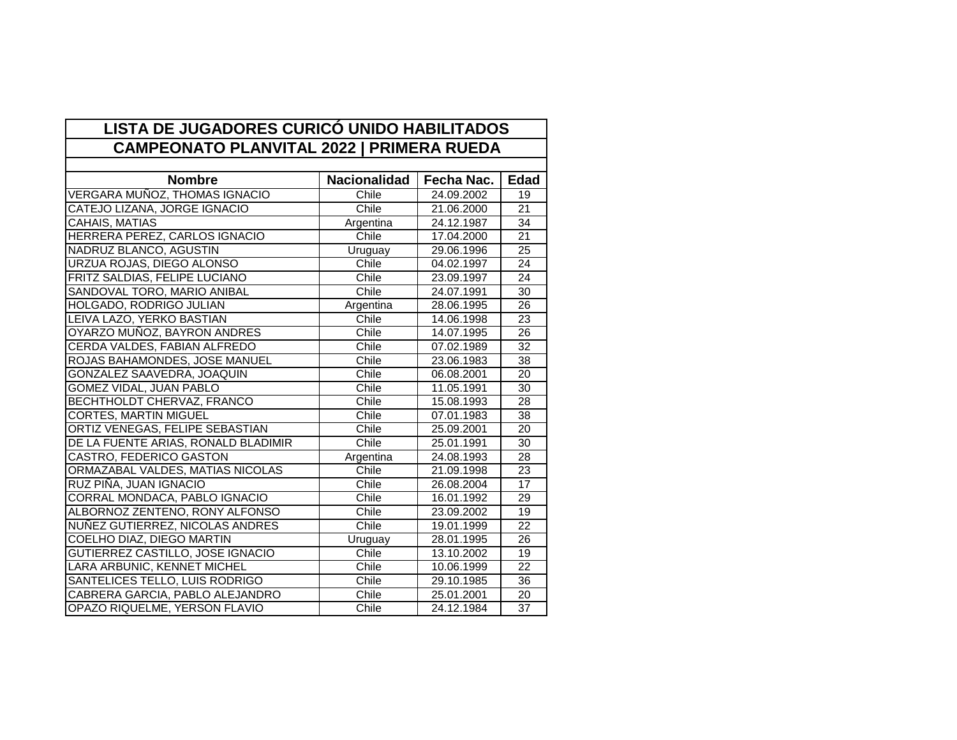| <b>Nombre</b>                       | <b>Nacionalidad</b> | Fecha Nac. | <b>Edad</b>     |
|-------------------------------------|---------------------|------------|-----------------|
| VERGARA MUÑOZ, THOMAS IGNACIO       | Chile               | 24.09.2002 | 19              |
| CATEJO LIZANA, JORGE IGNACIO        | Chile               | 21.06.2000 | 21              |
| CAHAIS, MATIAS                      | Argentina           | 24.12.1987 | 34              |
| HERRERA PEREZ, CARLOS IGNACIO       | Chile               | 17.04.2000 | $\overline{21}$ |
| NADRUZ BLANCO, AGUSTIN              | Uruguay             | 29.06.1996 | 25              |
| URZUA ROJAS, DIEGO ALONSO           | Chile               | 04.02.1997 | 24              |
| FRITZ SALDIAS, FELIPE LUCIANO       | Chile               | 23.09.1997 | 24              |
| SANDOVAL TORO, MARIO ANIBAL         | Chile               | 24.07.1991 | 30              |
| HOLGADO, RODRIGO JULIAN             | Argentina           | 28.06.1995 | 26              |
| LEIVA LAZO, YERKO BASTIAN           | Chile               | 14.06.1998 | 23              |
| OYARZO MUÑOZ, BAYRON ANDRES         | Chile               | 14.07.1995 | 26              |
| CERDA VALDES, FABIAN ALFREDO        | Chile               | 07.02.1989 | 32              |
| ROJAS BAHAMONDES, JOSE MANUEL       | Chile               | 23.06.1983 | 38              |
| <b>GONZALEZ SAAVEDRA, JOAQUIN</b>   | Chile               | 06.08.2001 | 20              |
| GOMEZ VIDAL, JUAN PABLO             | Chile               | 11.05.1991 | 30              |
| BECHTHOLDT CHERVAZ, FRANCO          | Chile               | 15.08.1993 | 28              |
| <b>CORTES, MARTIN MIGUEL</b>        | Chile               | 07.01.1983 | 38              |
| ORTIZ VENEGAS, FELIPE SEBASTIAN     | Chile               | 25.09.2001 | 20              |
| DE LA FUENTE ARIAS, RONALD BLADIMIR | Chile               | 25.01.1991 | 30              |
| CASTRO, FEDERICO GASTON             | Argentina           | 24.08.1993 | $\overline{28}$ |
| ORMAZABAL VALDES, MATIAS NICOLAS    | Chile               | 21.09.1998 | 23              |
| RUZ PIÑA, JUAN IGNACIO              | Chile               | 26.08.2004 | $\overline{17}$ |
| CORRAL MONDACA, PABLO IGNACIO       | Chile               | 16.01.1992 | 29              |
| ALBORNOZ ZENTENO, RONY ALFONSO      | Chile               | 23.09.2002 | 19              |
| NUÑEZ GUTIERREZ, NICOLAS ANDRES     | Chile               | 19.01.1999 | 22              |
| COELHO DIAZ, DIEGO MARTIN           | Uruguay             | 28.01.1995 | 26              |
| GUTIERREZ CASTILLO, JOSE IGNACIO    | Chile               | 13.10.2002 | 19              |
| LARA ARBUNIC, KENNET MICHEL         | Chile               | 10.06.1999 | 22              |
| SANTELICES TELLO, LUIS RODRIGO      | Chile               | 29.10.1985 | 36              |
| CABRERA GARCIA, PABLO ALEJANDRO     | Chile               | 25.01.2001 | 20              |
| OPAZO RIQUELME, YERSON FLAVIO       | Chile               | 24.12.1984 | 37              |

÷